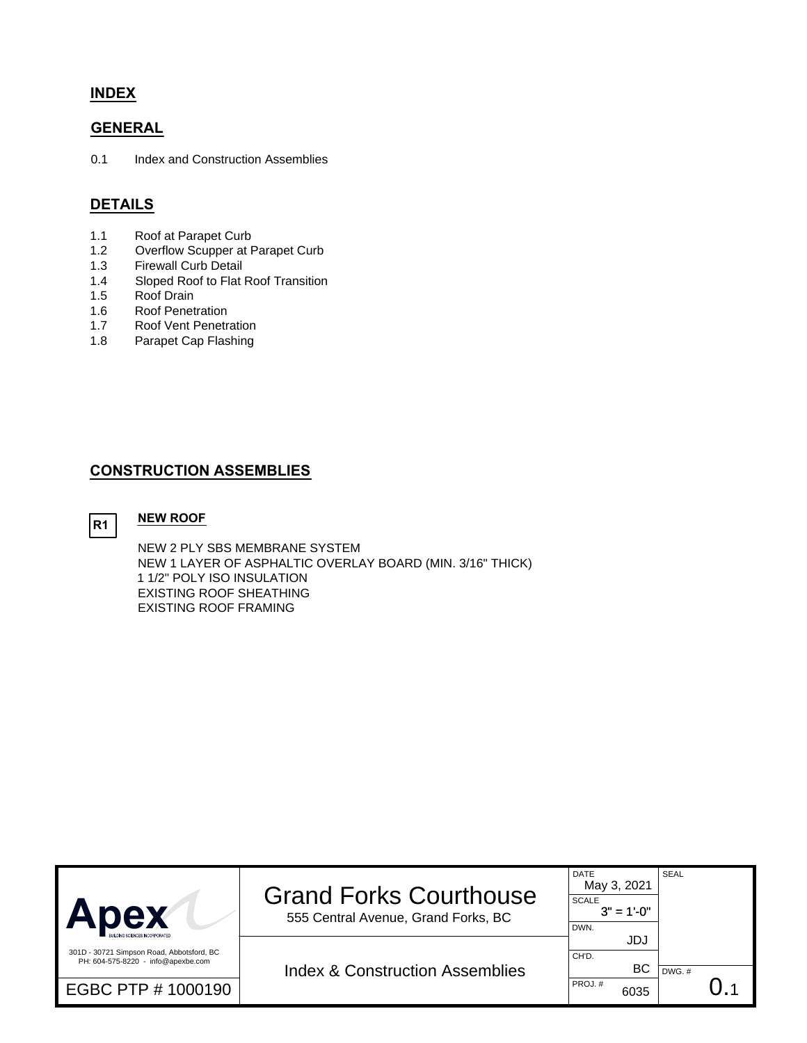## **INDEX**

## **GENERAL**

0.1 Index and Construction Assemblies

# **DETAILS**

- 1.1 Roof at Parapet Curb
- 1.2 Overflow Scupper at Parapet Curb<br>1.3 Firewall Curb Detail
- Firewall Curb Detail
- 1.4 Sloped Roof to Flat Roof Transition
- 1.5 Roof Drain
- 1.6 Roof Penetration<br>1.7 Roof Vent Penetra
- Roof Vent Penetration
- 1.8 Parapet Cap Flashing

## **CONSTRUCTION ASSEMBLIES**

R1 NEW ROOF

NEW 2 PLY SBS MEMBRANE SYSTEM NEW 1 LAYER OF ASPHALTIC OVERLAY BOARD (MIN. 3/16" THICK) 1 1/2" POLY ISO INSULATION EXISTING ROOF SHEATHING EXISTING ROOF FRAMING

| Apex                                                                            | <b>Grand Forks Courthouse</b><br>555 Central Avenue, Grand Forks, BC | <b>DATE</b><br>May 3, 2021<br><b>SCALE</b><br>$3" = 1'-0"$<br>DWN. | <b>SEAL</b> |  |
|---------------------------------------------------------------------------------|----------------------------------------------------------------------|--------------------------------------------------------------------|-------------|--|
| 301D - 30721 Simpson Road, Abbotsford, BC<br>PH: 604-575-8220 - info@apexbe.com | <b>Index &amp; Construction Assemblies</b>                           | JDJ<br>CH'D.<br>ВC                                                 | $DWG.$ #    |  |
| EGBC PTP # 1000190                                                              |                                                                      | PROJ.#<br>6035                                                     |             |  |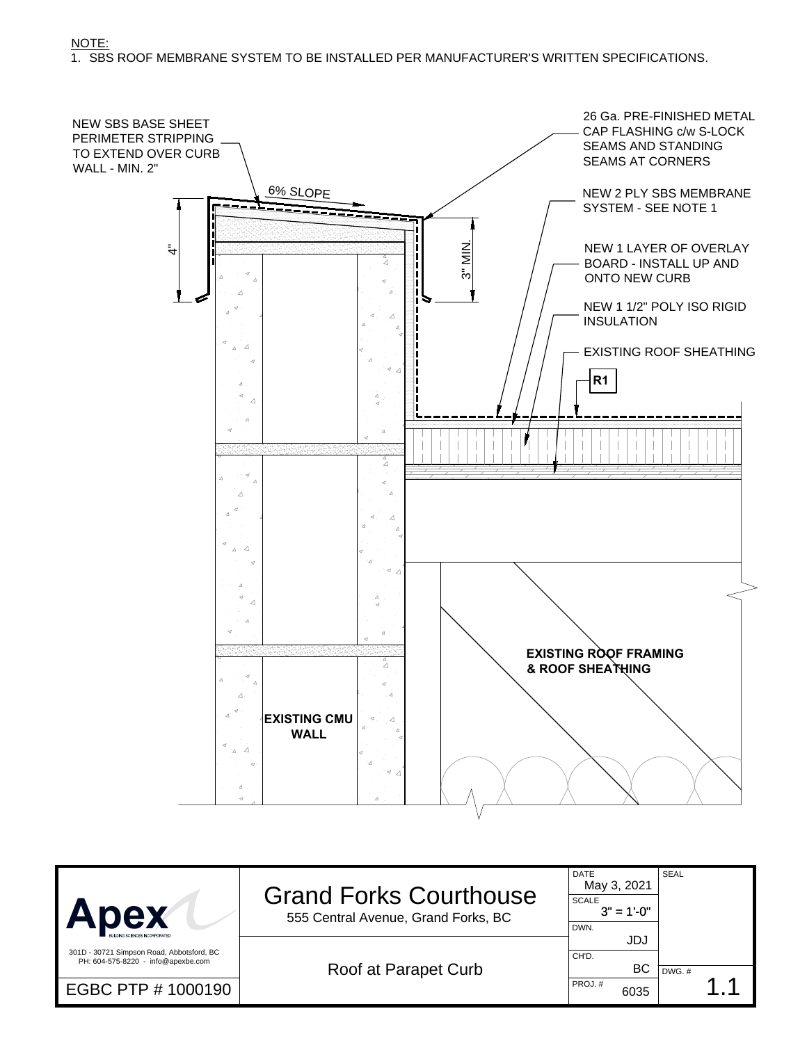NOTE:

1. SBS ROOF MEMBRANE SYSTEM TO BE INSTALLED PER MANUFACTURER'S WRITTEN SPECIFICATIONS.



| Apex                                                                            | <b>Grand Forks Courthouse</b><br>555 Central Avenue, Grand Forks, BC | DATE<br>May 3, 2021<br><b>SCALE</b><br>$3" = 1'-0"$<br>DWN. | <b>SEAL</b> |  |
|---------------------------------------------------------------------------------|----------------------------------------------------------------------|-------------------------------------------------------------|-------------|--|
| 301D - 30721 Simpson Road, Abbotsford, BC<br>PH: 604-575-8220 - info@apexbe.com | Roof at Parapet Curb                                                 | JDJ<br>CH'D.<br>BC                                          | DWG.#       |  |
| EGBC PTP # 1000190                                                              |                                                                      | PROJ.#<br>6035                                              |             |  |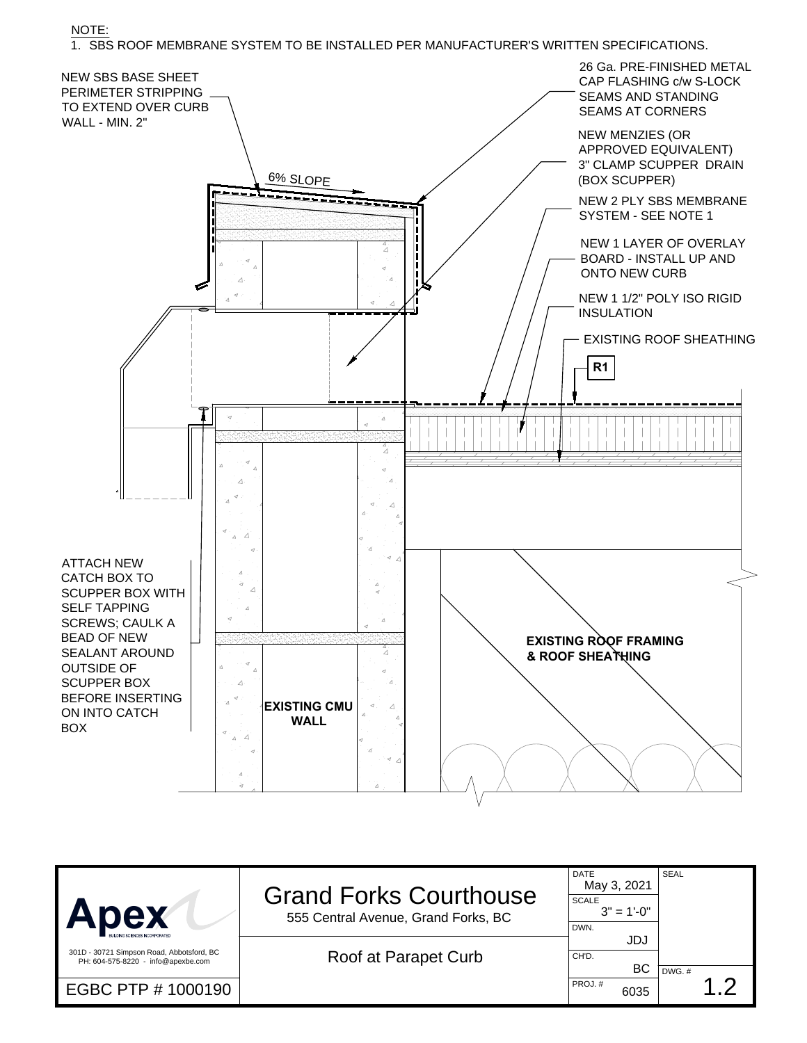NOTE:

1. SBS ROOF MEMBRANE SYSTEM TO BE INSTALLED PER MANUFACTURER'S WRITTEN SPECIFICATIONS.



| <b>Apex</b>                                                                     | <b>Grand Forks Courthouse</b><br>555 Central Avenue, Grand Forks, BC | <b>DATE</b><br>May 3, 2021<br><b>SCALE</b><br>$3" = 1'-0"$<br>DWN. | <b>SEAL</b> |  |
|---------------------------------------------------------------------------------|----------------------------------------------------------------------|--------------------------------------------------------------------|-------------|--|
| 301D - 30721 Simpson Road, Abbotsford, BC<br>PH: 604-575-8220 - info@apexbe.com | Roof at Parapet Curb                                                 | JDJ<br>CH'D.<br>BC.                                                | DWG. #      |  |
| EGBC PTP # 1000190                                                              |                                                                      | PROJ.#<br>6035                                                     | $\bigcap$   |  |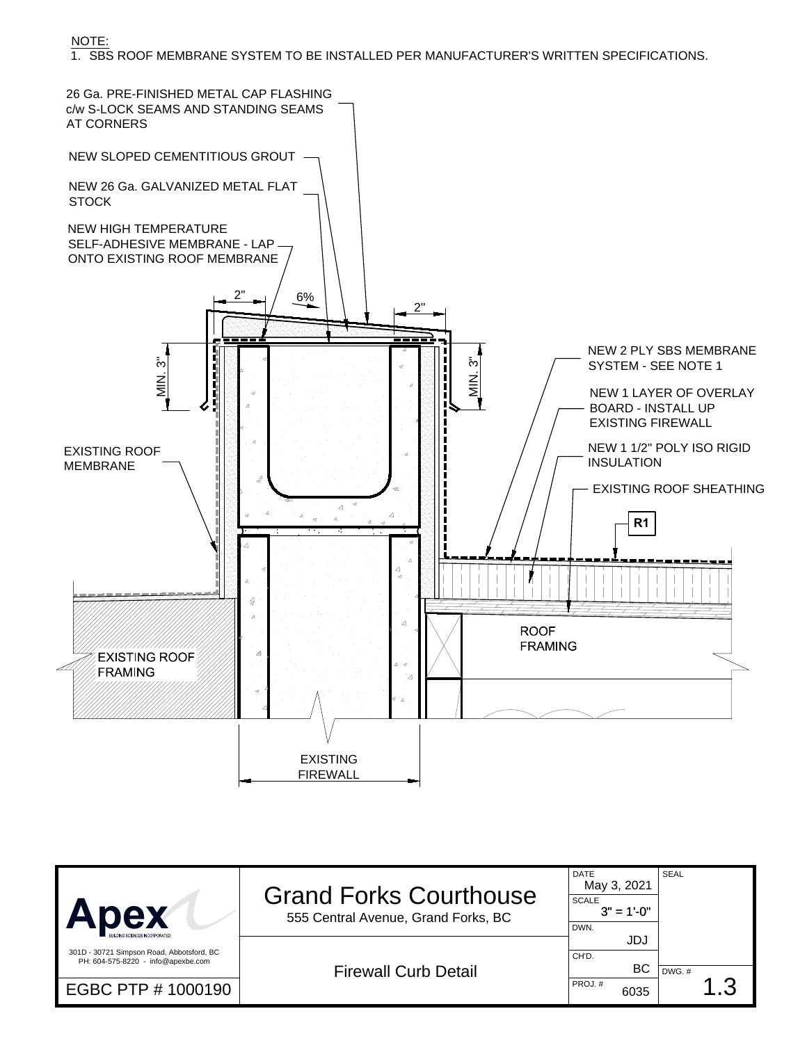NOTE:

1. SBS ROOF MEMBRANE SYSTEM TO BE INSTALLED PER MANUFACTURER'S WRITTEN SPECIFICATIONS.



| <b>Apex</b>                                                                     | <b>Grand Forks Courthouse</b><br>555 Central Avenue, Grand Forks, BC | <b>DATE</b><br>May 3, 2021<br><b>SCALE</b><br>$3" = 1'-0"$<br>DWN. | <b>SEAL</b> |  |
|---------------------------------------------------------------------------------|----------------------------------------------------------------------|--------------------------------------------------------------------|-------------|--|
| 301D - 30721 Simpson Road, Abbotsford, BC<br>PH: 604-575-8220 - info@apexbe.com | <b>Firewall Curb Detail</b>                                          | JDJ<br>CH'D.<br>BC.                                                | DWG. #      |  |
| EGBC PTP # 1000190                                                              |                                                                      | PROJ.#<br>6035                                                     | .3          |  |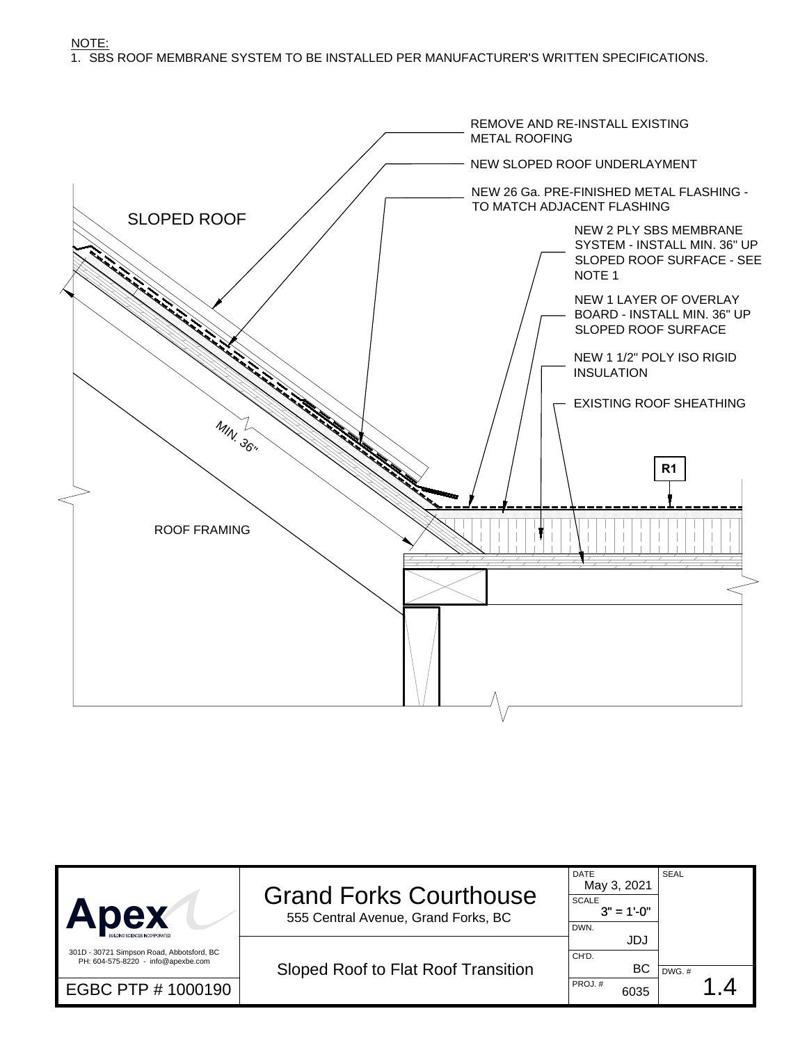NOTE: 1. SBS ROOF MEMBRANE SYSTEM TO BE INSTALLED PER MANUFACTURER'S WRITTEN SPECIFICATIONS.



| Apex                                                                            | <b>Grand Forks Courthouse</b><br>555 Central Avenue, Grand Forks, BC | <b>DATE</b><br>May 3, 2021<br><b>SCALE</b><br>$3" = 1'-0"$<br>DWN. | SEAL     |
|---------------------------------------------------------------------------------|----------------------------------------------------------------------|--------------------------------------------------------------------|----------|
| 301D - 30721 Simpson Road, Abbotsford, BC<br>PH: 604-575-8220 - info@apexbe.com | Sloped Roof to Flat Roof Transition                                  | JDJ<br>CH'D.<br>BC                                                 | $DWG.$ # |
| EGBC PTP # 1000190                                                              |                                                                      | PROJ.#<br>6035                                                     |          |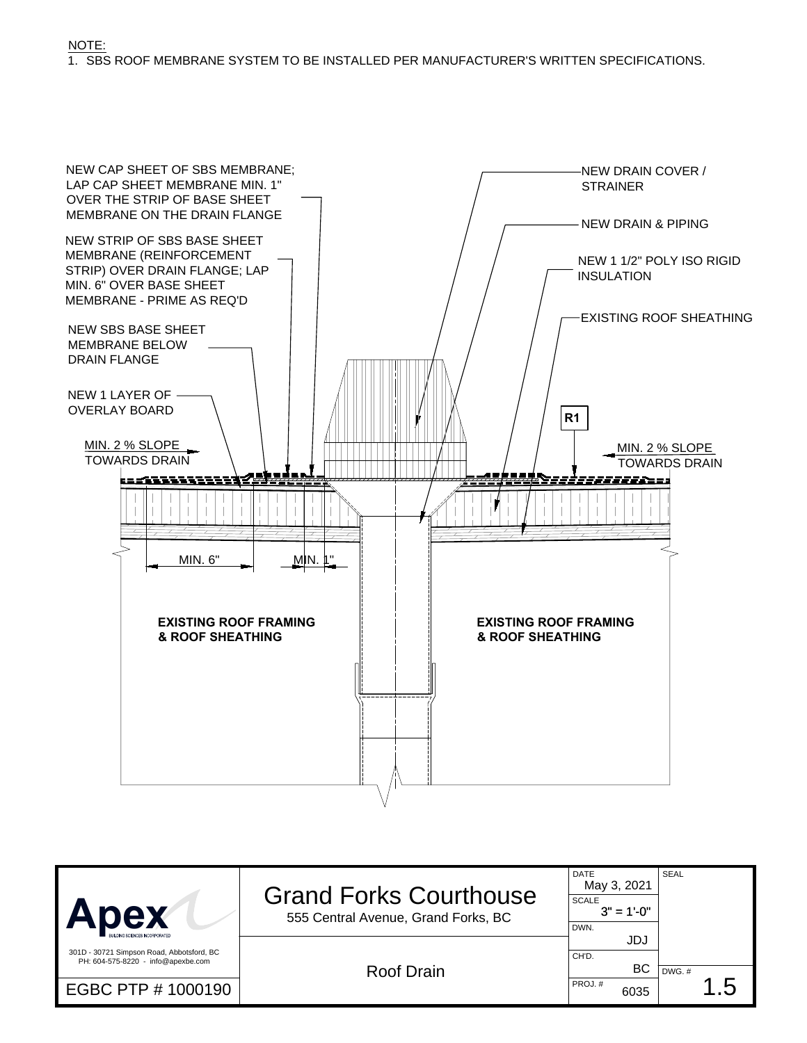

| <b>Apex</b>                                                                                           | <b>Grand Forks Courthouse</b><br>555 Central Avenue, Grand Forks, BC | <b>DATE</b><br>May 3, 2021<br><b>SCALE</b><br>$3" = 1'-0"$<br>DWN. | <b>SEAL</b>        |  |
|-------------------------------------------------------------------------------------------------------|----------------------------------------------------------------------|--------------------------------------------------------------------|--------------------|--|
| 301D - 30721 Simpson Road, Abbotsford, BC<br>PH: 604-575-8220 - info@apexbe.com<br>EGBC PTP # 1000190 | Roof Drain                                                           | JDJ<br>CH'D.<br>BC.<br>PROJ.#<br>6035                              | $DWG.$ #<br>$.5\,$ |  |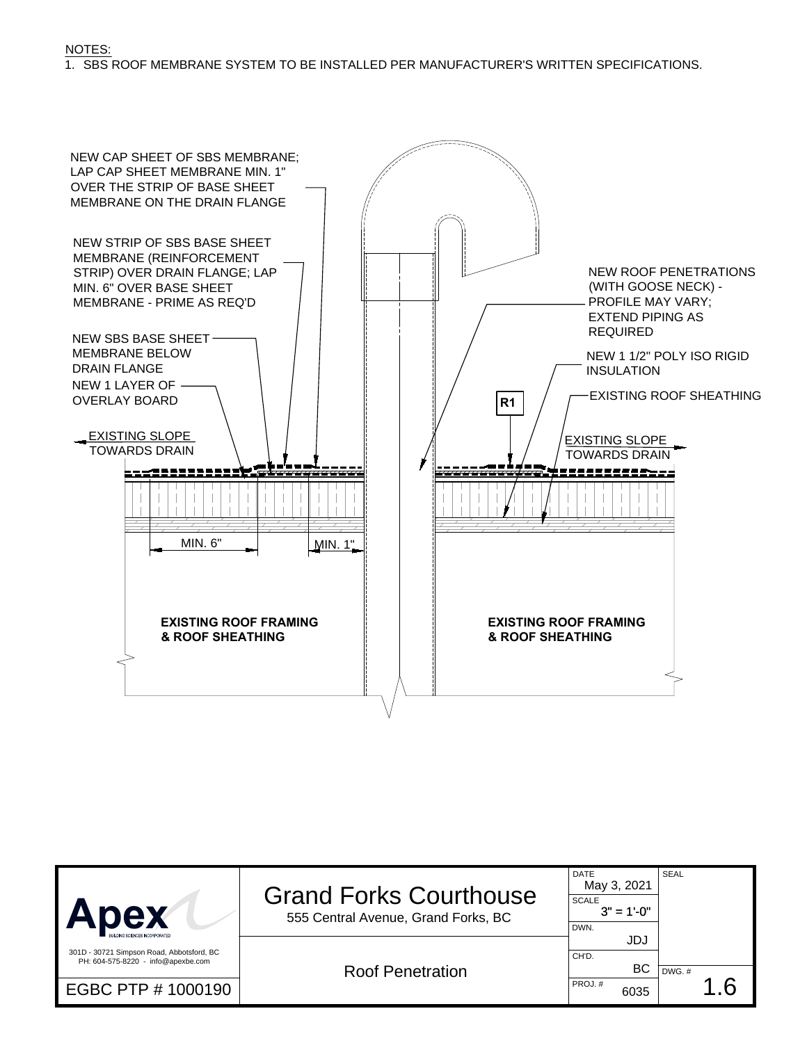#### NOTES: 1. SBS ROOF MEMBRANE SYSTEM TO BE INSTALLED PER MANUFACTURER'S WRITTEN SPECIFICATIONS.



| <b>Apex</b>                                                                     | <b>Grand Forks Courthouse</b><br>555 Central Avenue, Grand Forks, BC | <b>DATE</b><br>May 3, 2021<br><b>SCALE</b><br>$3" = 1'-0"$<br>DWN. | <b>SEAL</b> |  |
|---------------------------------------------------------------------------------|----------------------------------------------------------------------|--------------------------------------------------------------------|-------------|--|
| 301D - 30721 Simpson Road, Abbotsford, BC<br>PH: 604-575-8220 - info@apexbe.com | <b>Roof Penetration</b>                                              | JDJ<br>CH'D.<br>BC.                                                | DWG. #      |  |
| EGBC PTP # 1000190                                                              |                                                                      | PROJ.#<br>6035                                                     | .6          |  |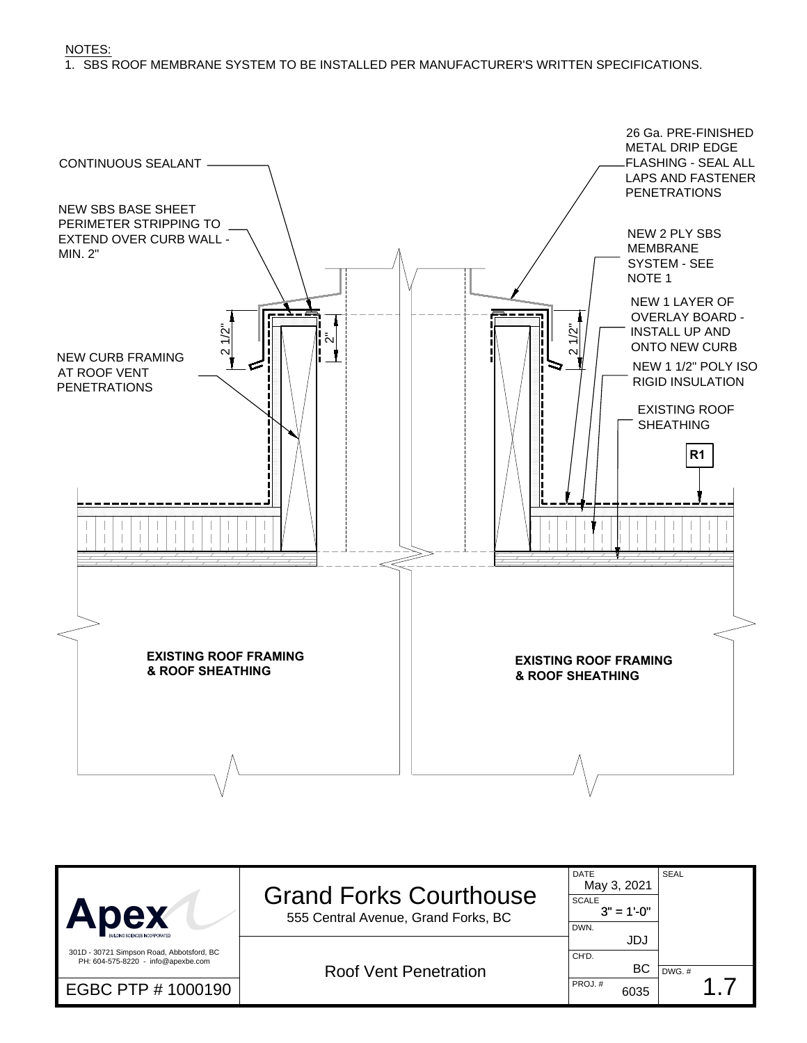NOTES: 1. SBS ROOF MEMBRANE SYSTEM TO BE INSTALLED PER MANUFACTURER'S WRITTEN SPECIFICATIONS.



| Apex                                                                            | <b>Grand Forks Courthouse</b><br>555 Central Avenue, Grand Forks, BC | <b>DATE</b><br>May 3, 2021<br><b>SCALE</b><br>$3" = 1'-0"$<br>DWN. | <b>SEAL</b> |  |
|---------------------------------------------------------------------------------|----------------------------------------------------------------------|--------------------------------------------------------------------|-------------|--|
| 301D - 30721 Simpson Road, Abbotsford, BC<br>PH: 604-575-8220 - info@apexbe.com | <b>Roof Vent Penetration</b>                                         | JDJ<br>CH'D.<br>BC.                                                | DWG.#       |  |
| EGBC PTP # 1000190                                                              |                                                                      | PROJ.#<br>6035                                                     |             |  |